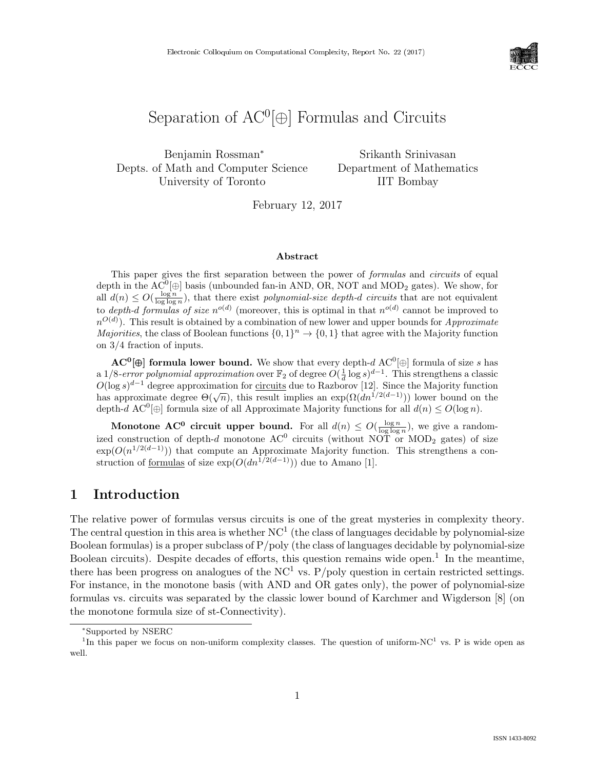

# Separation of  $AC^0[\oplus]$  Formulas and Circuits

Benjamin Rossman<sup>∗</sup> Depts. of Math and Computer Science University of Toronto

Srikanth Srinivasan Department of Mathematics IIT Bombay

February 12, 2017

#### Abstract

This paper gives the first separation between the power of *formulas* and *circuits* of equal depth in the  $AC^0[\oplus]$  basis (unbounded fan-in AND, OR, NOT and MOD<sub>2</sub> gates). We show, for all  $d(n) \leq O(\frac{\log n}{\log \log n})$ , that there exist polynomial-size depth-d circuits that are not equivalent to depth-d formulas of size  $n^{o(d)}$  (moreover, this is optimal in that  $n^{o(d)}$  cannot be improved to  $n^{O(d)}$ ). This result is obtained by a combination of new lower and upper bounds for *Approximate Majorities*, the class of Boolean functions  $\{0,1\}^n \to \{0,1\}$  that agree with the Majority function on 3/4 fraction of inputs.

 $AC^0[\oplus]$  formula lower bound. We show that every depth-d  $AC^0[\oplus]$  formula of size s has a 1/8-error polynomial approximation over  $\mathbb{F}_2$  of degree  $O(\frac{1}{d} \log s)^{d-1}$ . This strengthens a classic  $O(\log s)^{d-1}$  degree approximation for circuits due to Razborov [12]. Since the Majority function  $\mathcal{O}(\log s)$  degree approximation for <u>circuits</u> due to Razborov [12]. Since the majority function<br>has approximate degree  $\Theta(\sqrt{n})$ , this result implies an exp $(\Omega(dn^{1/2(d-1)}))$  lower bound on the depth-d AC<sup>0</sup> $\oplus$  formula size of all Approximate Majority functions for all  $d(n) \leq O(\log n)$ .

Monotone AC<sup>0</sup> circuit upper bound. For all  $d(n) \leq O(\frac{\log n}{\log \log n})$ , we give a randomized construction of depth-d monotone  $AC^0$  circuits (without NOT or MOD<sub>2</sub> gates) of size  $\exp(O(n^{1/2(d-1)}))$  that compute an Approximate Majority function. This strengthens a construction of formulas of size  $\exp(O(dn^{1/2(d-1)}))$  due to Amano [1].

## 1 Introduction

The relative power of formulas versus circuits is one of the great mysteries in complexity theory. The central question in this area is whether  $NC<sup>1</sup>$  (the class of languages decidable by polynomial-size Boolean formulas) is a proper subclass of  $P/poly$  (the class of languages decidable by polynomial-size Boolean circuits). Despite decades of efforts, this question remains wide open.<sup>1</sup> In the meantime, there has been progress on analogues of the  $NC<sup>1</sup>$  vs. P/poly question in certain restricted settings. For instance, in the monotone basis (with AND and OR gates only), the power of polynomial-size formulas vs. circuits was separated by the classic lower bound of Karchmer and Wigderson [8] (on the monotone formula size of st-Connectivity).

<sup>∗</sup>Supported by NSERC

<sup>&</sup>lt;sup>1</sup>In this paper we focus on non-uniform complexity classes. The question of uniform-NC<sup>1</sup> vs. P is wide open as well.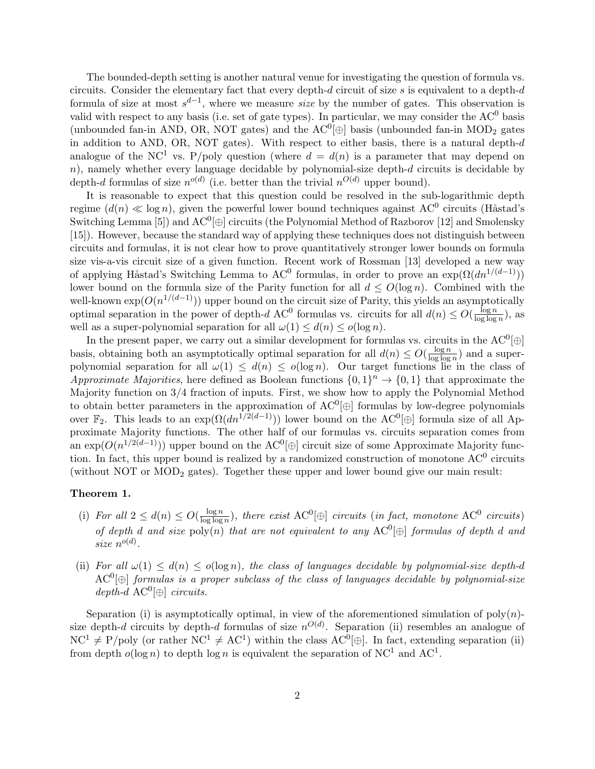The bounded-depth setting is another natural venue for investigating the question of formula vs. circuits. Consider the elementary fact that every depth- $d$  circuit of size  $s$  is equivalent to a depth- $d$ formula of size at most  $s^{d-1}$ , where we measure *size* by the number of gates. This observation is valid with respect to any basis (i.e. set of gate types). In particular, we may consider the  $AC^0$  basis (unbounded fan-in AND, OR, NOT gates) and the  $AC^0[\oplus]$  basis (unbounded fan-in MOD<sub>2</sub> gates in addition to AND, OR, NOT gates). With respect to either basis, there is a natural depth- $d$ analogue of the NC<sup>1</sup> vs. P/poly question (where  $d = d(n)$  is a parameter that may depend on  $n$ ), namely whether every language decidable by polynomial-size depth- $d$  circuits is decidable by depth-d formulas of size  $n^{o(d)}$  (i.e. better than the trivial  $n^{O(d)}$  upper bound).

It is reasonable to expect that this question could be resolved in the sub-logarithmic depth regime  $(d(n) \ll \log n)$ , given the powerful lower bound techniques against AC<sup>0</sup> circuits (Håstad's Switching Lemma [5]) and  $AC^0[\oplus]$  circuits (the Polynomial Method of Razborov [12] and Smolensky [15]). However, because the standard way of applying these techniques does not distinguish between circuits and formulas, it is not clear how to prove quantitatively stronger lower bounds on formula size vis-a-vis circuit size of a given function. Recent work of Rossman [13] developed a new way of applying Håstad's Switching Lemma to AC<sup>0</sup> formulas, in order to prove an  $\exp(\Omega(dn^{1/(d-1)}))$ lower bound on the formula size of the Parity function for all  $d \leq O(\log n)$ . Combined with the well-known  $\exp(O(n^{1/(d-1)}))$  upper bound on the circuit size of Parity, this yields an asymptotically optimal separation in the power of depth-d AC<sup>0</sup> formulas vs. circuits for all  $d(n) \leq O(\frac{\log n}{\log \log n})$  $\frac{\log n}{\log \log n}$ , as well as a super-polynomial separation for all  $\omega(1) \leq d(n) \leq o(\log n)$ .

In the present paper, we carry out a similar development for formulas vs. circuits in the  $AC^0[\oplus]$ basis, obtaining both an asymptotically optimal separation for all  $d(n) \leq O(\frac{\log n}{\log \log n})$  $\frac{\log n}{\log \log n}$  and a superpolynomial separation for all  $\omega(1) \leq d(n) \leq o(\log n)$ . Our target functions lie in the class of Approximate Majorities, here defined as Boolean functions  $\{0,1\}^n \to \{0,1\}$  that approximate the Majority function on 3/4 fraction of inputs. First, we show how to apply the Polynomial Method to obtain better parameters in the approximation of  $AC^0[\oplus]$  formulas by low-degree polynomials over  $\mathbb{F}_2$ . This leads to an  $\exp(\Omega(dn^{1/2(d-1)}))$  lower bound on the AC<sup>0</sup>[⊕] formula size of all Approximate Majority functions. The other half of our formulas vs. circuits separation comes from an  $\exp(O(n^{1/2(d-1)}))$  upper bound on the AC<sup>0</sup>[ $\oplus$ ] circuit size of some Approximate Majority function. In fact, this upper bound is realized by a randomized construction of monotone  $AC^0$  circuits (without NOT or MOD<sub>2</sub> gates). Together these upper and lower bound give our main result:

#### Theorem 1.

- (i) For all  $2 \leq d(n) \leq O(\frac{\log n}{\log \log n})$  $\frac{\log n}{\log \log n}$ ), there exist AC<sup>0</sup>[ $\oplus$ ] circuits (in fact, monotone AC<sup>0</sup> circuits) of depth d and size poly(n) that are not equivalent to any  $AC^0[\oplus]$  formulas of depth d and size  $n^{o(d)}$ .
- (ii) For all  $\omega(1) \leq d(n) \leq o(\log n)$ , the class of languages decidable by polynomial-size depth-d  $AC^0[\oplus]$  formulas is a proper subclass of the class of languages decidable by polynomial-size  $depth-d$  AC<sup>0</sup> $[\oplus]$  circuits.

Separation (i) is asymptotically optimal, in view of the aforementioned simulation of  $poly(n)$ size depth-d circuits by depth-d formulas of size  $n^{O(d)}$ . Separation (ii) resembles an analogue of  $NC^{1} \neq P/\text{poly}$  (or rather  $NC^{1} \neq AC^{1}$ ) within the class  $AC^{0}[\oplus]$ . In fact, extending separation (ii) from depth  $o(\log n)$  to depth  $\log n$  is equivalent the separation of NC<sup>1</sup> and AC<sup>1</sup>.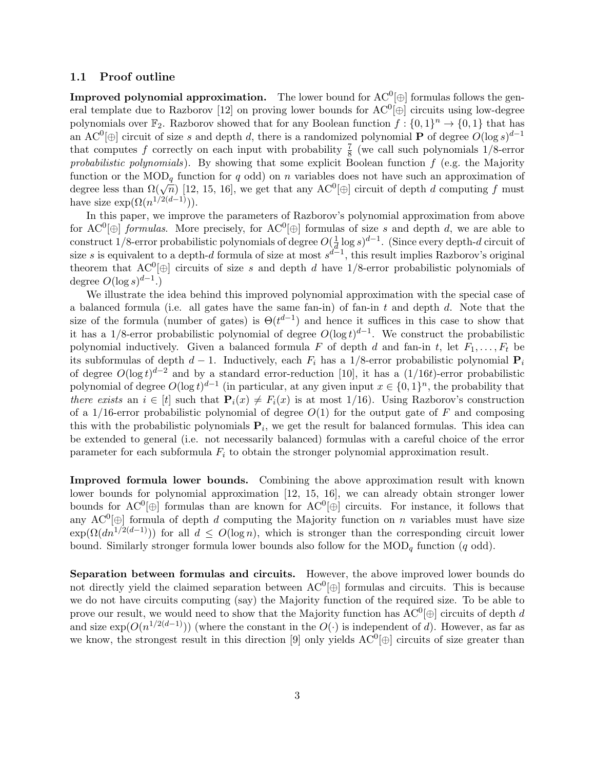#### 1.1 Proof outline

**Improved polynomial approximation.** The lower bound for  $AC^0[\oplus]$  formulas follows the general template due to Razborov [12] on proving lower bounds for  $AC^0[\oplus]$  circuits using low-degree polynomials over  $\mathbb{F}_2$ . Razborov showed that for any Boolean function  $f: \{0,1\}^n \to \{0,1\}$  that has an AC<sup>0</sup> $[\oplus]$  circuit of size s and depth d, there is a randomized polynomial **P** of degree  $O(\log s)^{d-1}$ that computes f correctly on each input with probability  $\frac{7}{8}$  (we call such polynomials 1/8-error probabilistic polynomials). By showing that some explicit Boolean function  $f$  (e.g. the Majority function or the  $\text{MOD}_q$  function for q odd) on n variables does not have such an approximation of degree less than  $\Omega(\sqrt{n})$  [12, 15, 16], we get that any  $AC^0[\oplus]$  circuit of depth d computing f must have size  $\exp(\Omega(n^{1/2(d-1)})).$ 

In this paper, we improve the parameters of Razborov's polynomial approximation from above for  $AC^0[\oplus]$  *formulas*. More precisely, for  $AC^0[\oplus]$  formulas of size s and depth d, we are able to construct 1/8-error probabilistic polynomials of degree  $O(\frac{1}{d})$  $\frac{1}{d} \log s^{d-1}$ . (Since every depth-d circuit of size s is equivalent to a depth-d formula of size at most  $s^{d-1}$ , this result implies Razborov's original theorem that  $AC^0[\oplus]$  circuits of size s and depth d have 1/8-error probabilistic polynomials of degree  $O(\log s)^{d-1}$ .)

We illustrate the idea behind this improved polynomial approximation with the special case of a balanced formula (i.e. all gates have the same fan-in) of fan-in  $t$  and depth  $d$ . Note that the size of the formula (number of gates) is  $\Theta(t^{d-1})$  and hence it suffices in this case to show that it has a 1/8-error probabilistic polynomial of degree  $O(\log t)^{d-1}$ . We construct the probabilistic polynomial inductively. Given a balanced formula F of depth d and fan-in t, let  $F_1, \ldots, F_t$  be its subformulas of depth  $d-1$ . Inductively, each  $F_i$  has a 1/8-error probabilistic polynomial  $P_i$ of degree  $O(\log t)^{d-2}$  and by a standard error-reduction [10], it has a (1/16t)-error probabilistic polynomial of degree  $O(\log t)^{d-1}$  (in particular, at any given input  $x \in \{0,1\}^n$ , the probability that there exists an  $i \in [t]$  such that  $P_i(x) \neq F_i(x)$  is at most 1/16). Using Razborov's construction of a  $1/16$ -error probabilistic polynomial of degree  $O(1)$  for the output gate of F and composing this with the probabilistic polynomials  $P_i$ , we get the result for balanced formulas. This idea can be extended to general (i.e. not necessarily balanced) formulas with a careful choice of the error parameter for each subformula  $F_i$  to obtain the stronger polynomial approximation result.

Improved formula lower bounds. Combining the above approximation result with known lower bounds for polynomial approximation [12, 15, 16], we can already obtain stronger lower bounds for  $AC^0[\oplus]$  formulas than are known for  $AC^0[\oplus]$  circuits. For instance, it follows that any  $AC^0[\oplus]$  formula of depth d computing the Majority function on n variables must have size  $\exp(\Omega(dn^{1/2(d-1)}))$  for all  $d \leq O(\log n)$ , which is stronger than the corresponding circuit lower bound. Similarly stronger formula lower bounds also follow for the  $\text{MOD}_q$  function (q odd).

Separation between formulas and circuits. However, the above improved lower bounds do not directly yield the claimed separation between  $AC^0[\oplus]$  formulas and circuits. This is because we do not have circuits computing (say) the Majority function of the required size. To be able to prove our result, we would need to show that the Majority function has  $AC^0[\oplus]$  circuits of depth d and size  $\exp(O(n^{1/2(d-1)}))$  (where the constant in the  $O(\cdot)$  is independent of d). However, as far as we know, the strongest result in this direction [9] only yields  $AC^0[\oplus]$  circuits of size greater than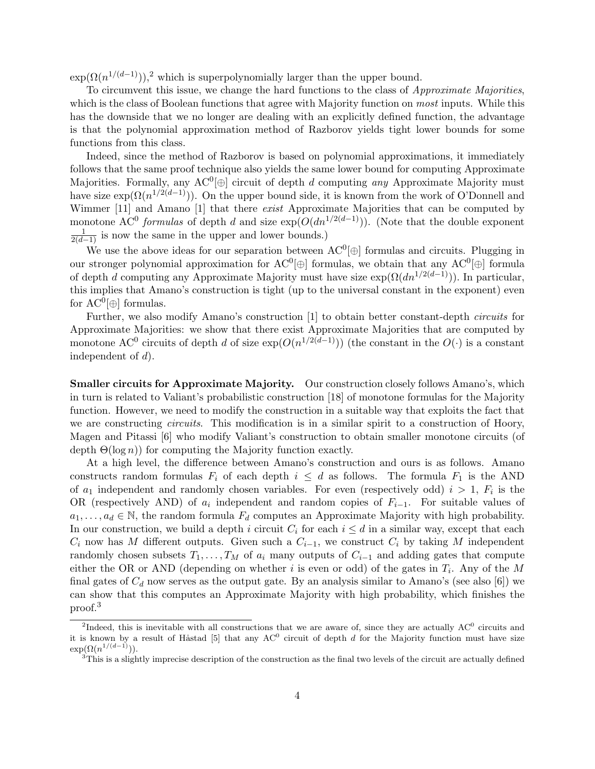$\exp(\Omega(n^{1/(d-1)}))$ ,<sup>2</sup> which is superpolynomially larger than the upper bound.

To circumvent this issue, we change the hard functions to the class of *Approximate Majorities*, which is the class of Boolean functions that agree with Majority function on most inputs. While this has the downside that we no longer are dealing with an explicitly defined function, the advantage is that the polynomial approximation method of Razborov yields tight lower bounds for some functions from this class.

Indeed, since the method of Razborov is based on polynomial approximations, it immediately follows that the same proof technique also yields the same lower bound for computing Approximate Majorities. Formally, any  $AC^0[\oplus]$  circuit of depth d computing any Approximate Majority must have size  $\exp(\Omega(n^{1/2(d-1)}))$ . On the upper bound side, it is known from the work of O'Donnell and Wimmer [11] and Amano [1] that there *exist* Approximate Majorities that can be computed by monotone AC<sup>0</sup> formulas of depth d and size  $\exp(O(dn^{1/2(d-1)}))$ . (Note that the double exponent  $\frac{1}{2(d-1)}$  is now the same in the upper and lower bounds.)

We use the above ideas for our separation between  $AC^0[\oplus]$  formulas and circuits. Plugging in our stronger polynomial approximation for  $AC^0[\oplus]$  formulas, we obtain that any  $AC^0[\oplus]$  formula of depth d computing any Approximate Majority must have size  $\exp(\Omega(dn^{1/2(d-1)}))$ . In particular, this implies that Amano's construction is tight (up to the universal constant in the exponent) even for  $AC^0[\oplus]$  formulas.

Further, we also modify Amano's construction [1] to obtain better constant-depth *circuits* for Approximate Majorities: we show that there exist Approximate Majorities that are computed by monotone AC<sup>0</sup> circuits of depth d of size  $\exp(O(n^{1/2(d-1)}))$  (the constant in the  $O(\cdot)$  is a constant independent of  $d$ ).

Smaller circuits for Approximate Majority. Our construction closely follows Amano's, which in turn is related to Valiant's probabilistic construction [18] of monotone formulas for the Majority function. However, we need to modify the construction in a suitable way that exploits the fact that we are constructing *circuits*. This modification is in a similar spirit to a construction of Hoory, Magen and Pitassi [6] who modify Valiant's construction to obtain smaller monotone circuits (of depth  $\Theta(\log n)$  for computing the Majority function exactly.

At a high level, the difference between Amano's construction and ours is as follows. Amano constructs random formulas  $F_i$  of each depth  $i \leq d$  as follows. The formula  $F_1$  is the AND of  $a_1$  independent and randomly chosen variables. For even (respectively odd)  $i > 1$ ,  $F_i$  is the OR (respectively AND) of  $a_i$  independent and random copies of  $F_{i-1}$ . For suitable values of  $a_1, \ldots, a_d \in \mathbb{N}$ , the random formula  $F_d$  computes an Approximate Majority with high probability. In our construction, we build a depth i circuit  $C_i$  for each  $i \leq d$  in a similar way, except that each  $C_i$  now has M different outputs. Given such a  $C_{i-1}$ , we construct  $C_i$  by taking M independent randomly chosen subsets  $T_1, \ldots, T_M$  of  $a_i$  many outputs of  $C_{i-1}$  and adding gates that compute either the OR or AND (depending on whether i is even or odd) of the gates in  $T_i$ . Any of the M final gates of  $C_d$  now serves as the output gate. By an analysis similar to Amano's (see also [6]) we can show that this computes an Approximate Majority with high probability, which finishes the proof.<sup>3</sup>

<sup>&</sup>lt;sup>2</sup>Indeed, this is inevitable with all constructions that we are aware of, since they are actually  $AC^0$  circuits and it is known by a result of Håstad [5] that any  $AC^0$  circuit of depth d for the Majority function must have size  $\exp(\Omega(n^{1/(d-1)})).$ 

 $3$ This is a slightly imprecise description of the construction as the final two levels of the circuit are actually defined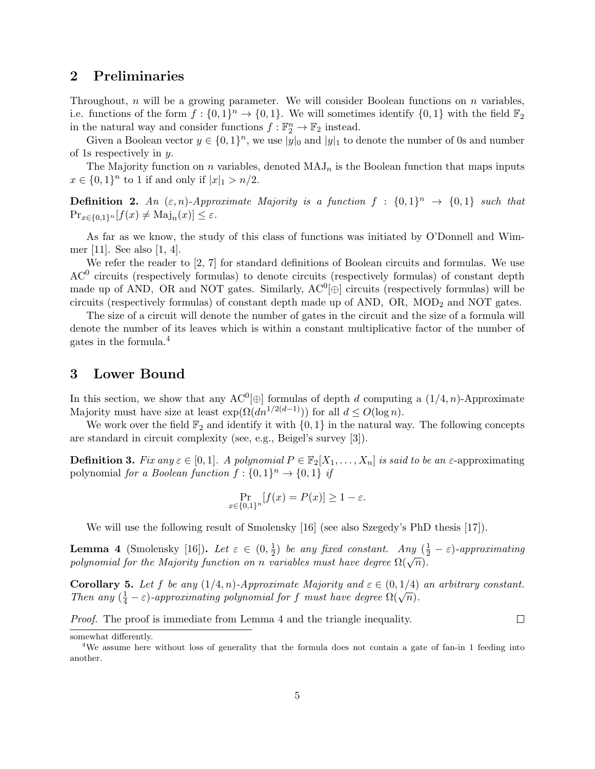# 2 Preliminaries

Throughout, n will be a growing parameter. We will consider Boolean functions on n variables, i.e. functions of the form  $f: \{0,1\}^n \to \{0,1\}$ . We will sometimes identify  $\{0,1\}$  with the field  $\mathbb{F}_2$ in the natural way and consider functions  $f : \mathbb{F}_2^n \to \mathbb{F}_2$  instead.

Given a Boolean vector  $y \in \{0,1\}^n$ , we use  $|y|_0$  and  $|y|_1$  to denote the number of 0s and number of 1s respectively in y.

The Majority function on n variables, denoted  $\text{MAJ}_n$  is the Boolean function that maps inputs  $x \in \{0,1\}^n$  to 1 if and only if  $|x|_1 > n/2$ .

**Definition 2.** An  $(\varepsilon, n)$ -Approximate Majority is a function  $f : \{0, 1\}^n \to \{0, 1\}$  such that  $\Pr_{x \in \{0,1\}^n} [f(x) \neq \text{Maj}_n(x)] \leq \varepsilon.$ 

As far as we know, the study of this class of functions was initiated by O'Donnell and Wimmer [11]. See also [1, 4].

We refer the reader to [2, 7] for standard definitions of Boolean circuits and formulas. We use  $AC<sup>0</sup>$  circuits (respectively formulas) to denote circuits (respectively formulas) of constant depth made up of AND, OR and NOT gates. Similarly,  $AC^0[\oplus]$  circuits (respectively formulas) will be circuits (respectively formulas) of constant depth made up of AND, OR, MOD<sup>2</sup> and NOT gates.

The size of a circuit will denote the number of gates in the circuit and the size of a formula will denote the number of its leaves which is within a constant multiplicative factor of the number of gates in the formula.<sup>4</sup>

### 3 Lower Bound

In this section, we show that any  $AC^0[\oplus]$  formulas of depth d computing a  $(1/4, n)$ -Approximate Majority must have size at least  $\exp(\Omega(dn^{1/2(d-1)}))$  for all  $d \leq O(\log n)$ .

We work over the field  $\mathbb{F}_2$  and identify it with  $\{0, 1\}$  in the natural way. The following concepts are standard in circuit complexity (see, e.g., Beigel's survey [3]).

**Definition 3.** Fix any  $\varepsilon \in [0,1]$ . A polynomial  $P \in \mathbb{F}_2[X_1,\ldots,X_n]$  is said to be an  $\varepsilon$ -approximating polynomial for a Boolean function  $f: \{0,1\}^n \to \{0,1\}$  if

$$
\Pr_{x \in \{0,1\}^n} [f(x) = P(x)] \ge 1 - \varepsilon.
$$

We will use the following result of Smolensky [16] (see also Szegedy's PhD thesis [17]).

**Lemma 4** (Smolensky [16]). Let  $\varepsilon \in (0, \frac{1}{2})$  $\frac{1}{2}$ ) be any fixed constant. Any  $(\frac{1}{2} - \varepsilon)$ -approximating **Definite 4** (Smolensky [10]). Let  $\varepsilon \in (0, \frac{1}{2})$  be any just constant. Any  $(\frac{1}{2})$ <br>polynomial for the Majority function on n variables must have degree  $\Omega(\sqrt{n})$ .

Corollary 5. Let f be any  $(1/4, n)$ -Approximate Majority and  $\varepsilon \in (0, 1/4)$  an arbitrary constant. Coronary 3. Let  $f$  be any  $(1/4, n)$ -Approximate Majority and  $\varepsilon \in (0, 1/4)$ .<br>Then any  $(\frac{1}{4} - \varepsilon)$ -approximating polynomial for  $f$  must have degree  $\Omega(\sqrt{n})$ .

 $\Box$ 

Proof. The proof is immediate from Lemma 4 and the triangle inequality.

somewhat differently.

<sup>&</sup>lt;sup>4</sup>We assume here without loss of generality that the formula does not contain a gate of fan-in 1 feeding into another.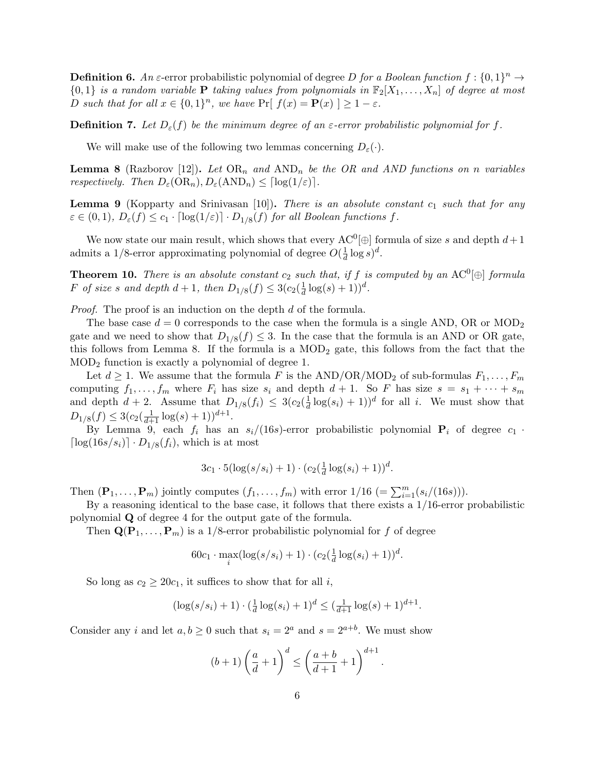**Definition 6.** An  $\varepsilon$ -error probabilistic polynomial of degree D for a Boolean function  $f: \{0,1\}^n \to$  ${0, 1}$  is a random variable **P** taking values from polynomials in  $\mathbb{F}_2[X_1, \ldots, X_n]$  of degree at most D such that for all  $x \in \{0,1\}^n$ , we have  $\Pr[f(x) = P(x)] \ge 1 - \varepsilon$ .

**Definition 7.** Let  $D_{\varepsilon}(f)$  be the minimum degree of an  $\varepsilon$ -error probabilistic polynomial for f.

We will make use of the following two lemmas concerning  $D_{\varepsilon}(\cdot)$ .

**Lemma 8** (Razborov [12]). Let  $OR_n$  and  $AND_n$  be the OR and AND functions on n variables respectively. Then  $D_{\varepsilon}(\text{OR}_n), D_{\varepsilon}(\text{AND}_n) \leq \lceil \log(1/\varepsilon) \rceil$ .

**Lemma 9** (Kopparty and Srinivasan [10]). There is an absolute constant  $c_1$  such that for any  $\varepsilon \in (0,1), D_{\varepsilon}(f) \leq c_1 \cdot \lceil \log(1/\varepsilon) \rceil \cdot D_{1/8}(f)$  for all Boolean functions f.

We now state our main result, which shows that every  $AC^0[\oplus]$  formula of size s and depth  $d+1$ admits a 1/8-error approximating polynomial of degree  $O(\frac{1}{d})$  $\frac{1}{d} \log s)^d$ .

**Theorem 10.** There is an absolute constant  $c_2$  such that, if f is computed by an AC<sup>0</sup> $[\oplus]$  formula F of size s and depth  $d+1$ , then  $D_{1/8}(f) \leq 3(c_2(\frac{1}{d}))$  $\frac{1}{d} \log(s) + 1)^d$ .

*Proof.* The proof is an induction on the depth d of the formula.

The base case  $d = 0$  corresponds to the case when the formula is a single AND, OR or MOD<sub>2</sub> gate and we need to show that  $D_{1/8}(f) \leq 3$ . In the case that the formula is an AND or OR gate, this follows from Lemma 8. If the formula is a  $\text{MOD}_2$  gate, this follows from the fact that the MOD<sup>2</sup> function is exactly a polynomial of degree 1.

Let  $d \geq 1$ . We assume that the formula F is the AND/OR/MOD<sub>2</sub> of sub-formulas  $F_1, \ldots, F_m$ computing  $f_1, \ldots, f_m$  where  $F_i$  has size  $s_i$  and depth  $d+1$ . So F has size  $s = s_1 + \cdots + s_m$ and depth  $d+2$ . Assume that  $D_{1/8}(f_i) \leq 3(c_2(\frac{1}{d}))$  $\frac{1}{d} \log(s_i) + 1)^d$  for all *i*. We must show that  $D_{1/8}(f) \leq 3(c_2(\frac{1}{d+1}\log(s)+1))^{d+1}.$ 

By Lemma 9, each  $f_i$  has an  $s_i/(16s)$ -error probabilistic polynomial  $P_i$  of degree  $c_1$ .  $\lceil \log(16s/s_i) \rceil \cdot D_{1/8}(f_i)$ , which is at most

$$
3c_1 \cdot 5(\log(s/s_i) + 1) \cdot (c_2(\frac{1}{d}\log(s_i) + 1))^d
$$
.

Then  $(\mathbf{P}_1, \ldots, \mathbf{P}_m)$  jointly computes  $(f_1, \ldots, f_m)$  with error  $1/16$   $(=\sum_{i=1}^m (s_i/(16s)))$ .

By a reasoning identical to the base case, it follows that there exists a  $1/16$ -error probabilistic polynomial Q of degree 4 for the output gate of the formula.

Then  $\mathbf{Q}(\mathbf{P}_1,\ldots,\mathbf{P}_m)$  is a 1/8-error probabilistic polynomial for f of degree

$$
60c_1 \cdot \max_i (\log(s/s_i) + 1) \cdot (c_2(\frac{1}{d}\log(s_i) + 1))^d
$$
.

So long as  $c_2 \geq 20c_1$ , it suffices to show that for all i,

$$
(\log(s/s_i) + 1) \cdot (\frac{1}{d} \log(s_i) + 1)^d \le (\frac{1}{d+1} \log(s) + 1)^{d+1}.
$$

Consider any i and let  $a, b \ge 0$  such that  $s_i = 2^a$  and  $s = 2^{a+b}$ . We must show

$$
(b+1)\left(\frac{a}{d}+1\right)^d \le \left(\frac{a+b}{d+1}+1\right)^{d+1}.
$$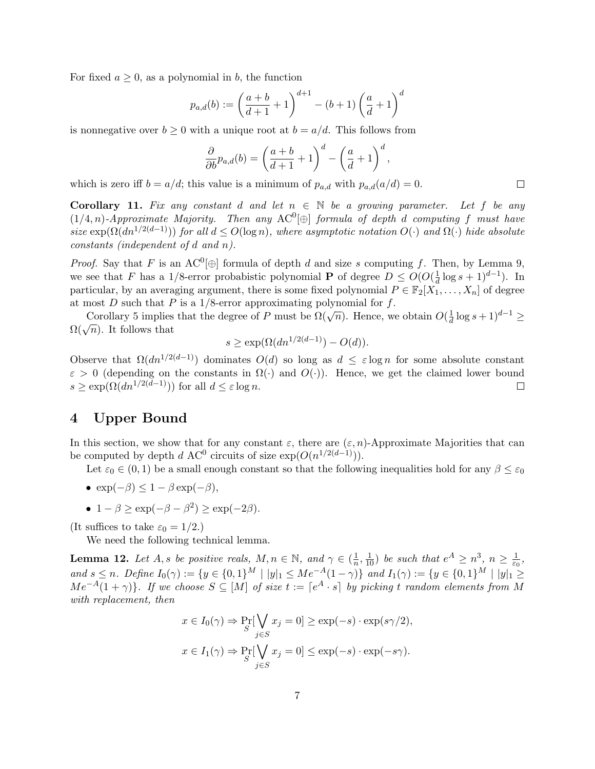For fixed  $a \geq 0$ , as a polynomial in b, the function

$$
p_{a,d}(b) := \left(\frac{a+b}{d+1} + 1\right)^{d+1} - (b+1)\left(\frac{a}{d} + 1\right)^d
$$

is nonnegative over  $b \geq 0$  with a unique root at  $b = a/d$ . This follows from

$$
\frac{\partial}{\partial b}p_{a,d}(b) = \left(\frac{a+b}{d+1} + 1\right)^d - \left(\frac{a}{d} + 1\right)^d,
$$

which is zero iff  $b = a/d$ ; this value is a minimum of  $p_{a,d}$  with  $p_{a,d}(a/d) = 0$ .

**Corollary 11.** Fix any constant d and let  $n \in \mathbb{N}$  be a growing parameter. Let f be any  $(1/4, n)$ -Approximate Majority. Then any AC<sup>0</sup>[ $\oplus$ ] formula of depth d computing f must have size  $\exp(\Omega(dn^{1/2(d-1)}))$  for all  $d \leq O(\log n)$ , where asymptotic notation  $O(\cdot)$  and  $\Omega(\cdot)$  hide absolute constants (independent of d and n).

*Proof.* Say that F is an AC<sup>0</sup> $[\oplus]$  formula of depth d and size s computing f. Then, by Lemma 9, we see that F has a 1/8-error probabistic polynomial **P** of degree  $D \leq O(O(\frac{1}{d}))$  $\frac{1}{d} \log s + 1)^{d-1}$ ). In particular, by an averaging argument, there is some fixed polynomial  $P \in \mathbb{F}_2[X_1, \ldots, X_n]$  of degree at most  $D$  such that  $P$  is a 1/8-error approximating polynomial for  $f$ .

Figure 1 is a 1/6-error approximating polynomial for f.<br>Corollary 5 implies that the degree of P must be  $\Omega(\sqrt{n})$ . Hence, we obtain  $O(\frac{1}{d})$  $\frac{1}{d} \log s + 1)^{d-1} \geq$ Coronary 5 implies<br> $\Omega(\sqrt{n})$ . It follows that

$$
s \ge \exp(\Omega(dn^{1/2(d-1)}) - O(d)).
$$

Observe that  $\Omega(dn^{1/2(d-1)})$  dominates  $O(d)$  so long as  $d \leq \varepsilon \log n$  for some absolute constant  $\varepsilon > 0$  (depending on the constants in  $\Omega(\cdot)$  and  $O(\cdot)$ ). Hence, we get the claimed lower bound  $s \geq \exp(\Omega(dn^{1/2(d-1)}))$  for all  $d \leq \varepsilon \log n$ .  $\Box$ 

## 4 Upper Bound

In this section, we show that for any constant  $\varepsilon$ , there are  $(\varepsilon, n)$ -Approximate Majorities that can be computed by depth d AC<sup>0</sup> circuits of size  $\exp(O(n^{1/2(d-1)})).$ 

Let  $\varepsilon_0 \in (0,1)$  be a small enough constant so that the following inequalities hold for any  $\beta \leq \varepsilon_0$ 

- $\exp(-\beta) \leq 1 \beta \exp(-\beta)$ ,
- $1 \beta \ge \exp(-\beta \beta^2) \ge \exp(-2\beta).$

(It suffices to take  $\varepsilon_0 = 1/2$ .)

We need the following technical lemma.

**Lemma 12.** Let A, s be positive reals,  $M, n \in \mathbb{N}$ , and  $\gamma \in (\frac{1}{n})$  $\frac{1}{n}, \frac{1}{10}$  be such that  $e^A \geq n^3$ ,  $n \geq \frac{1}{\varepsilon_0}$  $\frac{1}{\varepsilon_0},$ and  $s \leq n$ . Define  $I_0(\gamma) := \{y \in \{0,1\}^M \mid |y|_1 \leq Me^{-A}(1-\gamma)\}\$  and  $I_1(\gamma) := \{y \in \{0,1\}^M \mid |y|_1 \geq$  $Me^{-A}(1+\gamma)$ . If we choose  $S \subseteq [M]$  of size  $t := [e^A \cdot s]$  by picking t random elements from M with replacement, then

$$
x \in I_0(\gamma) \Rightarrow \Pr_{S}[\bigvee_{j \in S} x_j = 0] \ge \exp(-s) \cdot \exp(s\gamma/2),
$$
  

$$
x \in I_1(\gamma) \Rightarrow \Pr_{S}[\bigvee_{j \in S} x_j = 0] \le \exp(-s) \cdot \exp(-s\gamma).
$$

 $\Box$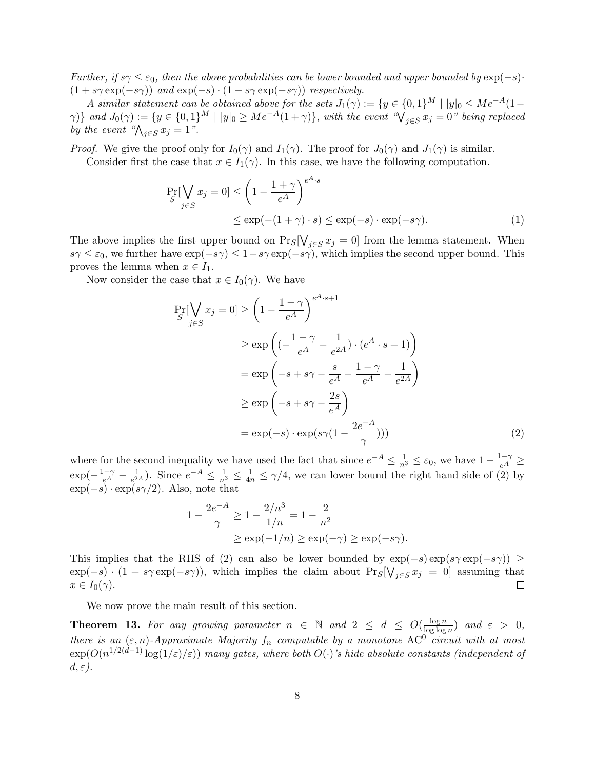Further, if  $s\gamma \leq \varepsilon_0$ , then the above probabilities can be lower bounded and upper bounded by  $\exp(-s)$ ·  $(1 + s\gamma \exp(-s\gamma))$  and  $\exp(-s) \cdot (1 - s\gamma \exp(-s\gamma))$  respectively.

A similar statement can be obtained above for the sets  $J_1(\gamma) := \{y \in \{0,1\}^M \mid |y|_0 \leq Me^{-A}(1-\gamma)\}$  $\{\gamma\}\}$  and  $J_0(\gamma) := \{y \in \{0,1\}^M \mid |y|_0 \geq Me^{-A}(1+\gamma)\}\$ , with the event  $\sqrt[q]{y} \in S$   $x_j = 0$ " being replaced by the event " $\bigwedge_{j\in S} x_j = 1$ ".

*Proof.* We give the proof only for  $I_0(\gamma)$  and  $I_1(\gamma)$ . The proof for  $J_0(\gamma)$  and  $J_1(\gamma)$  is similar.

Consider first the case that  $x \in I_1(\gamma)$ . In this case, we have the following computation.

$$
\Pr_{S}[\bigvee_{j\in S} x_j = 0] \le \left(1 - \frac{1+\gamma}{e^A}\right)^{e^A \cdot s} \le \exp(-(1+\gamma) \cdot s) \le \exp(-s) \cdot \exp(-s\gamma).
$$
\n(1)

The above implies the first upper bound on  $\Pr_S[\bigvee_{j\in S} x_j = 0]$  from the lemma statement. When  $s\gamma \leq \varepsilon_0$ , we further have  $\exp(-s\gamma) \leq 1-s\gamma \exp(-s\gamma)$ , which implies the second upper bound. This proves the lemma when  $x \in I_1$ .

Now consider the case that  $x \in I_0(\gamma)$ . We have

$$
\Pr_{S}[\bigvee_{j\in S} x_{j} = 0] \ge \left(1 - \frac{1 - \gamma}{e^{A}}\right)^{e^{A} \cdot s + 1}
$$
\n
$$
\ge \exp\left((-\frac{1 - \gamma}{e^{A}} - \frac{1}{e^{2A}}) \cdot (e^{A} \cdot s + 1)\right)
$$
\n
$$
= \exp\left(-s + s\gamma - \frac{s}{e^{A}} - \frac{1 - \gamma}{e^{A}} - \frac{1}{e^{2A}}\right)
$$
\n
$$
\ge \exp\left(-s + s\gamma - \frac{2s}{e^{A}}\right)
$$
\n
$$
= \exp(-s) \cdot \exp(s\gamma(1 - \frac{2e^{-A}}{\gamma})))
$$
\n(2)

where for the second inequality we have used the fact that since  $e^{-A} \leq \frac{1}{n^3} \leq \varepsilon_0$ , we have  $1 - \frac{1-\gamma}{e^A} \geq$  $\exp(-\frac{1-\gamma}{e^A}-\frac{1}{e^2})$  $\frac{1}{e^{2A}}$ ). Since  $e^{-A} \leq \frac{1}{n^3} \leq \frac{1}{4n} \leq \gamma/4$ , we can lower bound the right hand side of (2) by  $\exp(-s) \cdot \exp(s\gamma/2)$ . Also, note that

$$
1 - \frac{2e^{-A}}{\gamma} \ge 1 - \frac{2/n^3}{1/n} = 1 - \frac{2}{n^2}
$$
  
 
$$
\ge \exp(-1/n) \ge \exp(-\gamma) \ge \exp(-s\gamma).
$$

This implies that the RHS of (2) can also be lower bounded by  $\exp(-s)\exp(s\gamma \exp(-s\gamma)) \ge$  $\exp(-s) \cdot (1 + s\gamma \exp(-s\gamma))$ , which implies the claim about  $\Pr_s[\bigvee_{j \in S} x_j = 0]$  assuming that  $x \in I_0(\gamma)$ .  $\Box$ 

We now prove the main result of this section.

**Theorem 13.** For any growing parameter  $n \in \mathbb{N}$  and  $2 \leq d \leq O(\frac{\log n}{\log \log n})$  $\frac{\log n}{\log \log n}$ ) and  $\varepsilon > 0$ , there is an  $(\varepsilon, n)$ -Approximate Majority  $f_n$  computable by a monotone AC<sup>0</sup> circuit with at most  $\exp(O(n^{1/2(d-1)}\log(1/\varepsilon)/\varepsilon))$  many gates, where both  $O(\cdot)$ 's hide absolute constants (independent of  $d, \varepsilon$ ).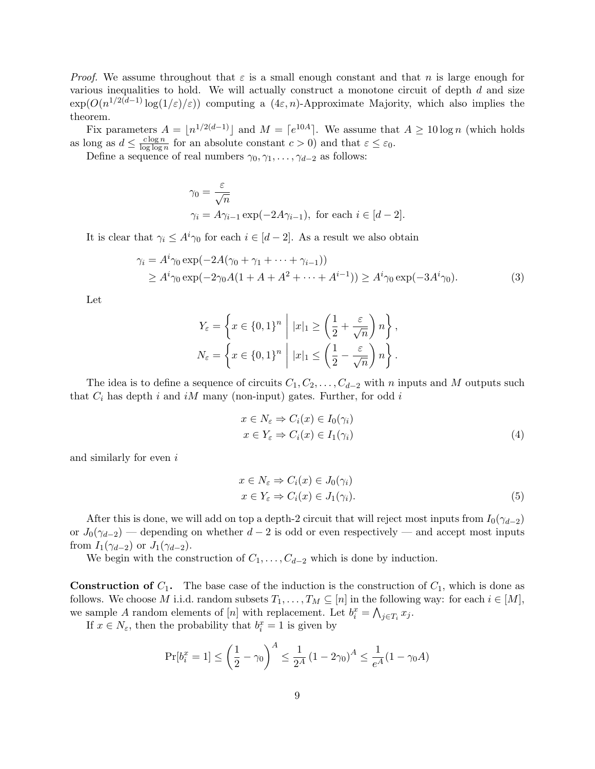*Proof.* We assume throughout that  $\varepsilon$  is a small enough constant and that n is large enough for various inequalities to hold. We will actually construct a monotone circuit of depth  $d$  and size  $\exp(O(n^{1/2(d-1)}\log(1/\varepsilon)/\varepsilon))$  computing a  $(4\varepsilon, n)$ -Approximate Majority, which also implies the theorem.

Fix parameters  $A = \lfloor n^{1/2(d-1)} \rfloor$  and  $M = \lceil e^{10A} \rceil$ . We assume that  $A \ge 10 \log n$  (which holds as long as  $d \leq \frac{c \log n}{\log \log n}$  $\frac{c \log n}{\log \log n}$  for an absolute constant  $c > 0$ ) and that  $\varepsilon \leq \varepsilon_0$ .

Define a sequence of real numbers  $\gamma_0, \gamma_1, \ldots, \gamma_{d-2}$  as follows:

$$
\gamma_0 = \frac{\varepsilon}{\sqrt{n}}
$$
  

$$
\gamma_i = A\gamma_{i-1} \exp(-2A\gamma_{i-1}), \text{ for each } i \in [d-2].
$$

It is clear that  $\gamma_i \leq A^i \gamma_0$  for each  $i \in [d-2]$ . As a result we also obtain

$$
\gamma_i = A^i \gamma_0 \exp(-2A(\gamma_0 + \gamma_1 + \dots + \gamma_{i-1}))
$$
  
\n
$$
\ge A^i \gamma_0 \exp(-2\gamma_0 A (1 + A + A^2 + \dots + A^{i-1})) \ge A^i \gamma_0 \exp(-3A^i \gamma_0).
$$
 (3)

Let

$$
Y_{\varepsilon} = \left\{ x \in \{0, 1\}^n \middle| \ |x|_1 \ge \left( \frac{1}{2} + \frac{\varepsilon}{\sqrt{n}} \right) n \right\},\,
$$
  

$$
N_{\varepsilon} = \left\{ x \in \{0, 1\}^n \middle| \ |x|_1 \le \left( \frac{1}{2} - \frac{\varepsilon}{\sqrt{n}} \right) n \right\}.
$$

The idea is to define a sequence of circuits  $C_1, C_2, \ldots, C_{d-2}$  with n inputs and M outputs such that  $C_i$  has depth i and iM many (non-input) gates. Further, for odd i

$$
x \in N_{\varepsilon} \Rightarrow C_i(x) \in I_0(\gamma_i)
$$
  
\n
$$
x \in Y_{\varepsilon} \Rightarrow C_i(x) \in I_1(\gamma_i)
$$
\n(4)

and similarly for even i

$$
x \in N_{\varepsilon} \Rightarrow C_i(x) \in J_0(\gamma_i)
$$
  
\n
$$
x \in Y_{\varepsilon} \Rightarrow C_i(x) \in J_1(\gamma_i).
$$
\n(5)

After this is done, we will add on top a depth-2 circuit that will reject most inputs from  $I_0(\gamma_{d-2})$ or  $J_0(\gamma_{d-2})$  — depending on whether  $d-2$  is odd or even respectively — and accept most inputs from  $I_1(\gamma_{d-2})$  or  $J_1(\gamma_{d-2})$ .

We begin with the construction of  $C_1, \ldots, C_{d-2}$  which is done by induction.

**Construction of**  $C_1$ **.** The base case of the induction is the construction of  $C_1$ , which is done as follows. We choose M i.i.d. random subsets  $T_1, \ldots, T_M \subseteq [n]$  in the following way: for each  $i \in [M]$ , we sample A random elements of  $[n]$  with replacement. Let  $b_i^x = \bigwedge_{j \in T_i} x_j$ .

If  $x \in N_{\varepsilon}$ , then the probability that  $b_i^x = 1$  is given by

$$
\Pr[b_i^x = 1] \le \left(\frac{1}{2} - \gamma_0\right)^A \le \frac{1}{2^A} \left(1 - 2\gamma_0\right)^A \le \frac{1}{e^A} (1 - \gamma_0 A)
$$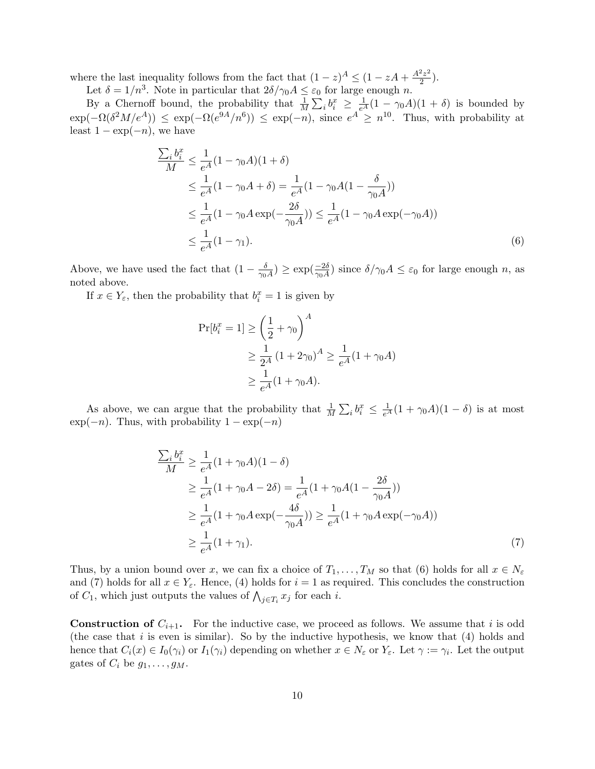where the last inequality follows from the fact that  $(1-z)^A \leq (1 - zA + \frac{A^2 z^2}{2})$  $\frac{z^2}{2}$ ).

Let  $\delta = 1/n^3$ . Note in particular that  $2\delta/\gamma_0 A \leq \varepsilon_0$  for large enough n.

By a Chernoff bound, the probability that  $\frac{1}{M}\sum_i b_i^x \geq \frac{1}{e^A}(1-\gamma_0 A)(1+\delta)$  is bounded by  $\exp(-\Omega(\delta^2M/e^A)) \leq \exp(-\Omega(e^{\theta A}/n^6)) \leq \exp(-n)$ , since  $e^A \geq n^{10}$ . Thus, with probability at least  $1 - \exp(-n)$ , we have

$$
\frac{\sum_{i} b_{i}^{x}}{M} \leq \frac{1}{e^{A}} (1 - \gamma_{0}A)(1 + \delta)
$$
\n
$$
\leq \frac{1}{e^{A}} (1 - \gamma_{0}A + \delta) = \frac{1}{e^{A}} (1 - \gamma_{0}A(1 - \frac{\delta}{\gamma_{0}A}))
$$
\n
$$
\leq \frac{1}{e^{A}} (1 - \gamma_{0}A \exp(-\frac{2\delta}{\gamma_{0}A})) \leq \frac{1}{e^{A}} (1 - \gamma_{0}A \exp(-\gamma_{0}A))
$$
\n
$$
\leq \frac{1}{e^{A}} (1 - \gamma_{1}). \tag{6}
$$

Above, we have used the fact that  $(1 - \frac{\delta}{\gamma_0})$  $\frac{\delta}{\gamma_0 A}$ )  $\geq \exp(\frac{-2\delta}{\gamma_0 A})$  since  $\delta/\gamma_0 A \leq \varepsilon_0$  for large enough n, as noted above.

If  $x \in Y_{\varepsilon}$ , then the probability that  $b_i^x = 1$  is given by

$$
\Pr[b_i^x = 1] \ge \left(\frac{1}{2} + \gamma_0\right)^A
$$
  
\n
$$
\ge \frac{1}{2^A} (1 + 2\gamma_0)^A \ge \frac{1}{e^A} (1 + \gamma_0 A)
$$
  
\n
$$
\ge \frac{1}{e^A} (1 + \gamma_0 A).
$$

As above, we can argue that the probability that  $\frac{1}{M}\sum_i b_i^x \leq \frac{1}{e^A}(1+\gamma_0 A)(1-\delta)$  is at most  $\exp(-n)$ . Thus, with probability  $1 - \exp(-n)$ 

$$
\frac{\sum_{i} b_{i}^{x}}{M} \ge \frac{1}{e^{A}} (1 + \gamma_{0}A)(1 - \delta)
$$
\n
$$
\ge \frac{1}{e^{A}} (1 + \gamma_{0}A - 2\delta) = \frac{1}{e^{A}} (1 + \gamma_{0}A(1 - \frac{2\delta}{\gamma_{0}A}))
$$
\n
$$
\ge \frac{1}{e^{A}} (1 + \gamma_{0}A \exp(-\frac{4\delta}{\gamma_{0}A})) \ge \frac{1}{e^{A}} (1 + \gamma_{0}A \exp(-\gamma_{0}A))
$$
\n
$$
\ge \frac{1}{e^{A}} (1 + \gamma_{1}). \tag{7}
$$

Thus, by a union bound over x, we can fix a choice of  $T_1, \ldots, T_M$  so that (6) holds for all  $x \in N_{\varepsilon}$ and (7) holds for all  $x \in Y_{\varepsilon}$ . Hence, (4) holds for  $i = 1$  as required. This concludes the construction of  $C_1$ , which just outputs the values of  $\bigwedge_{j\in T_i} x_j$  for each *i*.

**Construction of**  $C_{i+1}$ . For the inductive case, we proceed as follows. We assume that i is odd (the case that  $i$  is even is similar). So by the inductive hypothesis, we know that  $(4)$  holds and hence that  $C_i(x) \in I_0(\gamma_i)$  or  $I_1(\gamma_i)$  depending on whether  $x \in N_{\varepsilon}$  or  $Y_{\varepsilon}$ . Let  $\gamma := \gamma_i$ . Let the output gates of  $C_i$  be  $g_1, \ldots, g_M$ .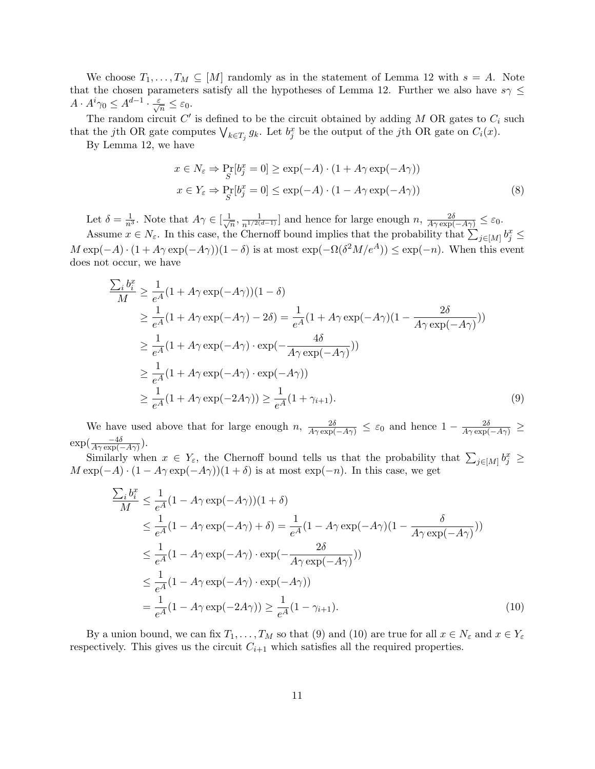We choose  $T_1, \ldots, T_M \subseteq [M]$  randomly as in the statement of Lemma 12 with  $s = A$ . Note that the chosen parameters satisfy all the hypotheses of Lemma 12. Further we also have  $s\gamma \leq$  $A \cdot A^i \gamma_0 \leq A^{d-1} \cdot \frac{\varepsilon}{\sqrt{n}} \leq \varepsilon_0.$ 

The random circuit  $C'$  is defined to be the circuit obtained by adding M OR gates to  $C_i$  such that the jth OR gate computes  $\bigvee_{k \in T_j} g_k$ . Let  $b_j^x$  be the output of the jth OR gate on  $C_i(x)$ .

By Lemma 12, we have

$$
x \in N_{\varepsilon} \Rightarrow \Pr_{S}[b_{j}^{x} = 0] \ge \exp(-A) \cdot (1 + A\gamma \exp(-A\gamma))
$$
  

$$
x \in Y_{\varepsilon} \Rightarrow \Pr_{S}[b_{j}^{x} = 0] \le \exp(-A) \cdot (1 - A\gamma \exp(-A\gamma))
$$
 (8)

Let  $\delta = \frac{1}{n^3}$ . Note that  $A\gamma \in [\frac{1}{\sqrt{n}}]$  $\frac{1}{n}$ ,  $\frac{1}{n^{1/2(d-1)}}$  and hence for large enough  $n$ ,  $\frac{2\delta}{A\gamma \exp(-A\gamma)} \leq \varepsilon_0$ .

Assume  $x \in N_{\varepsilon}$ . In this case, the Chernoff bound implies that the probability that  $\sum_{j\in[M]} b_j^x \leq$  $M \exp(-A) \cdot (1 + A\gamma \exp(-A\gamma)) (1 - \delta)$  is at most  $\exp(-\Omega(\delta^2 M/e^A)) \leq \exp(-n)$ . When this event does not occur, we have

$$
\frac{\sum_{i} b_{i}^{x}}{M} \geq \frac{1}{e^{A}} (1 + A\gamma \exp(-A\gamma))(1 - \delta)
$$
\n
$$
\geq \frac{1}{e^{A}} (1 + A\gamma \exp(-A\gamma) - 2\delta) = \frac{1}{e^{A}} (1 + A\gamma \exp(-A\gamma)(1 - \frac{2\delta}{A\gamma \exp(-A\gamma)}))
$$
\n
$$
\geq \frac{1}{e^{A}} (1 + A\gamma \exp(-A\gamma) \cdot \exp(-\frac{4\delta}{A\gamma \exp(-A\gamma)}))
$$
\n
$$
\geq \frac{1}{e^{A}} (1 + A\gamma \exp(-A\gamma) \cdot \exp(-A\gamma))
$$
\n
$$
\geq \frac{1}{e^{A}} (1 + A\gamma \exp(-2A\gamma)) \geq \frac{1}{e^{A}} (1 + \gamma_{i+1}). \tag{9}
$$

We have used above that for large enough  $n, \frac{2\delta}{A\gamma \exp(-A\gamma)} \leq \varepsilon_0$  and hence  $1 - \frac{2\delta}{A\gamma \exp(-A\gamma)} \geq$  $\exp(\frac{-4\delta}{A\gamma\exp(-A\gamma)}).$ 

Similarly when  $x \in Y_{\varepsilon}$ , the Chernoff bound tells us that the probability that  $\sum_{j\in[M]} b_j^x \geq$  $M \exp(-A) \cdot (1 - A\gamma \exp(-A\gamma))(1 + \delta)$  is at most  $\exp(-n)$ . In this case, we get

$$
\frac{\sum_{i} b_{i}^{x}}{M} \leq \frac{1}{e^{A}} (1 - A\gamma \exp(-A\gamma))(1 + \delta)
$$
\n
$$
\leq \frac{1}{e^{A}} (1 - A\gamma \exp(-A\gamma) + \delta) = \frac{1}{e^{A}} (1 - A\gamma \exp(-A\gamma)(1 - \frac{\delta}{A\gamma \exp(-A\gamma)}))
$$
\n
$$
\leq \frac{1}{e^{A}} (1 - A\gamma \exp(-A\gamma) \cdot \exp(-\frac{2\delta}{A\gamma \exp(-A\gamma)}))
$$
\n
$$
\leq \frac{1}{e^{A}} (1 - A\gamma \exp(-A\gamma) \cdot \exp(-A\gamma))
$$
\n
$$
= \frac{1}{e^{A}} (1 - A\gamma \exp(-2A\gamma)) \geq \frac{1}{e^{A}} (1 - \gamma_{i+1}). \tag{10}
$$

By a union bound, we can fix  $T_1, \ldots, T_M$  so that (9) and (10) are true for all  $x \in N_{\varepsilon}$  and  $x \in Y_{\varepsilon}$ respectively. This gives us the circuit  $C_{i+1}$  which satisfies all the required properties.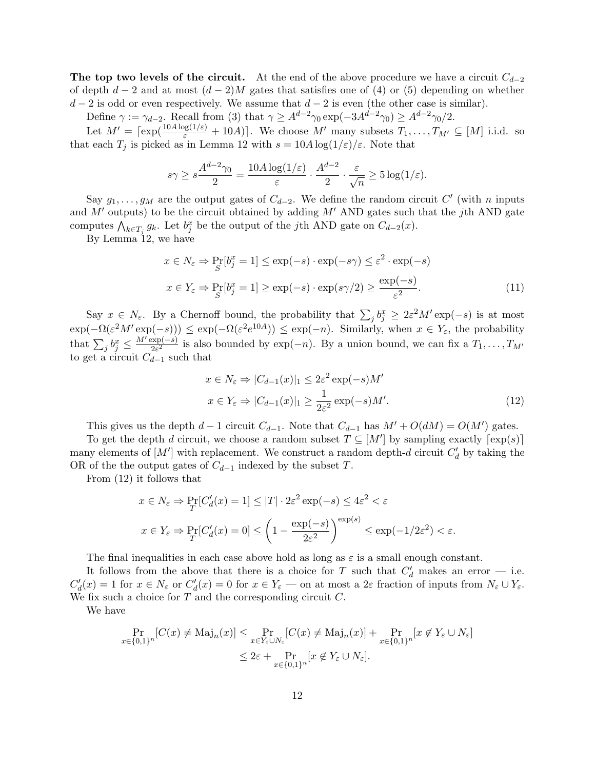The top two levels of the circuit. At the end of the above procedure we have a circuit  $C_{d-2}$ of depth  $d-2$  and at most  $(d-2)M$  gates that satisfies one of (4) or (5) depending on whether  $d-2$  is odd or even respectively. We assume that  $d-2$  is even (the other case is similar).

Define  $\gamma := \gamma_{d-2}$ . Recall from (3) that  $\gamma \geq A^{d-2}\gamma_0 \exp(-3A^{d-2}\gamma_0) \geq A^{d-2}\gamma_0/2$ .

Let  $M' = \lceil \exp(\frac{10A \log(1/\varepsilon)}{\varepsilon} + 10A) \rceil$ . We choose M' many subsets  $T_1, \ldots, T_{M'} \subseteq [M]$  i.i.d. so that each  $T_i$  is picked as in Lemma 12 with  $s = 10A \log(1/\varepsilon)/\varepsilon$ . Note that

$$
s\gamma \geq s\frac{A^{d-2}\gamma_0}{2} = \frac{10A\log(1/\varepsilon)}{\varepsilon} \cdot \frac{A^{d-2}}{2} \cdot \frac{\varepsilon}{\sqrt{n}} \geq 5\log(1/\varepsilon).
$$

Say  $g_1, \ldots, g_M$  are the output gates of  $C_{d-2}$ . We define the random circuit  $C'$  (with n inputs and  $M'$  outputs) to be the circuit obtained by adding  $M'$  AND gates such that the jth AND gate computes  $\bigwedge_{k\in T_j} g_k$ . Let  $b_j^x$  be the output of the jth AND gate on  $C_{d-2}(x)$ .

By Lemma 12, we have

$$
x \in N_{\varepsilon} \Rightarrow \Pr_{S}[b_j^x = 1] \le \exp(-s) \cdot \exp(-s\gamma) \le \varepsilon^2 \cdot \exp(-s)
$$

$$
x \in Y_{\varepsilon} \Rightarrow \Pr_{S}[b_j^x = 1] \ge \exp(-s) \cdot \exp(s\gamma/2) \ge \frac{\exp(-s)}{\varepsilon^2}.
$$
(11)

Say  $x \in N_{\varepsilon}$ . By a Chernoff bound, the probability that  $\sum_j b_j^x \geq 2\varepsilon^2 M' \exp(-s)$  is at most  $\exp(-\Omega(\varepsilon^2 M' \exp(-s))) \leq \exp(-\Omega(\varepsilon^2 e^{10A})) \leq \exp(-n)$ . Similarly, when  $x \in Y_{\varepsilon}$ , the probability that  $\sum_j b_j^x \leq \frac{M' \exp(-s)}{2\varepsilon^2}$  $\frac{\exp(-s)}{2\varepsilon^2}$  is also bounded by  $\exp(-n)$ . By a union bound, we can fix a  $T_1, \ldots, T_{M'}$ to get a circuit  $C_{d-1}$  such that

$$
x \in N_{\varepsilon} \Rightarrow |C_{d-1}(x)|_1 \le 2\varepsilon^2 \exp(-s)M'
$$
  

$$
x \in Y_{\varepsilon} \Rightarrow |C_{d-1}(x)|_1 \ge \frac{1}{2\varepsilon^2} \exp(-s)M'.
$$
 (12)

This gives us the depth  $d-1$  circuit  $C_{d-1}$ . Note that  $C_{d-1}$  has  $M' + O(dM) = O(M')$  gates.

To get the depth d circuit, we choose a random subset  $T \subseteq [M']$  by sampling exactly  $[\exp(s)]$ many elements of  $[M']$  with replacement. We construct a random depth-d circuit  $C'_d$  by taking the OR of the the output gates of  $C_{d-1}$  indexed by the subset T.

From (12) it follows that

$$
x \in N_{\varepsilon} \Rightarrow \Pr_{T}[C'_{d}(x) = 1] \le |T| \cdot 2\varepsilon^{2} \exp(-s) \le 4\varepsilon^{2} < \varepsilon
$$

$$
x \in Y_{\varepsilon} \Rightarrow \Pr_{T}[C'_{d}(x) = 0] \le \left(1 - \frac{\exp(-s)}{2\varepsilon^{2}}\right)^{\exp(s)} \le \exp(-1/2\varepsilon^{2}) < \varepsilon.
$$

The final inequalities in each case above hold as long as  $\varepsilon$  is a small enough constant.

It follows from the above that there is a choice for T such that  $C'_d$  makes an error – i.e.  $C'_d(x) = 1$  for  $x \in N_\varepsilon$  or  $C'_d(x) = 0$  for  $x \in Y_\varepsilon$  — on at most a  $2\varepsilon$  fraction of inputs from  $N_\varepsilon \cup Y_\varepsilon$ . We fix such a choice for  $T$  and the corresponding circuit  $C$ .

We have

$$
\Pr_{x \in \{0,1\}^n} [C(x) \neq \text{Maj}_n(x)] \leq \Pr_{x \in Y_{\varepsilon} \cup N_{\varepsilon}} [C(x) \neq \text{Maj}_n(x)] + \Pr_{x \in \{0,1\}^n} [x \notin Y_{\varepsilon} \cup N_{\varepsilon}]
$$
  

$$
\leq 2\varepsilon + \Pr_{x \in \{0,1\}^n} [x \notin Y_{\varepsilon} \cup N_{\varepsilon}].
$$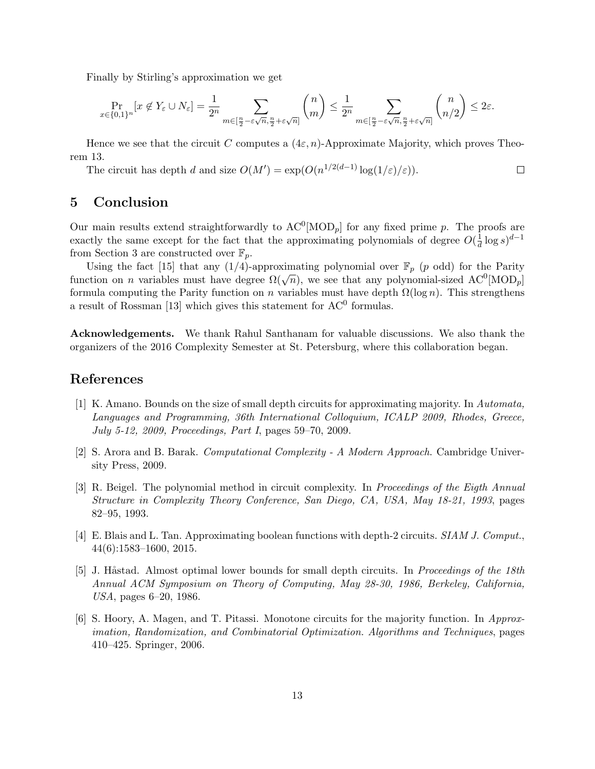Finally by Stirling's approximation we get

$$
\Pr_{x \in \{0,1\}^n} [x \not\in Y_{\varepsilon} \cup N_{\varepsilon}] = \frac{1}{2^n} \sum_{m \in [\frac{n}{2} - \varepsilon \sqrt{n}, \frac{n}{2} + \varepsilon \sqrt{n}]} \binom{n}{m} \le \frac{1}{2^n} \sum_{m \in [\frac{n}{2} - \varepsilon \sqrt{n}, \frac{n}{2} + \varepsilon \sqrt{n}]} \binom{n}{n/2} \le 2\varepsilon.
$$

Hence we see that the circuit C computes a  $(4\varepsilon, n)$ -Approximate Majority, which proves Theorem 13.

The circuit has depth d and size  $O(M') = \exp(O(n^{1/2(d-1)} \log(1/\varepsilon)/\varepsilon)).$  $\Box$ 

# 5 Conclusion

Our main results extend straightforwardly to  $AC^0[MOD_p]$  for any fixed prime p. The proofs are exactly the same except for the fact that the approximating polynomials of degree  $O(\frac{1}{d})$  $\frac{1}{d} \log s$ <sup> $d-1$ </sup> from Section 3 are constructed over  $\mathbb{F}_p$ .

Using the fact [15] that any (1/4)-approximating polynomial over  $\mathbb{F}_p$  (p odd) for the Parity be that  $\begin{bmatrix} 1 & 0 \\ 0 & 0 \end{bmatrix}$  that any  $(1/4)$ -approximating polynomial over  $\mathbb{F}_p$  (*p* odd) for the ratity function on *n* variables must have degree  $\Omega(\sqrt{n})$ , we see that any polynomial-sized AC<sup>0</sup>[MOD<sub>*p*</sub>] formula computing the Parity function on n variables must have depth  $\Omega(\log n)$ . This strengthens a result of Rossman [13] which gives this statement for  $AC^0$  formulas.

Acknowledgements. We thank Rahul Santhanam for valuable discussions. We also thank the organizers of the 2016 Complexity Semester at St. Petersburg, where this collaboration began.

# References

- [1] K. Amano. Bounds on the size of small depth circuits for approximating majority. In Automata, Languages and Programming, 36th International Colloquium, ICALP 2009, Rhodes, Greece, July 5-12, 2009, Proceedings, Part I, pages 59–70, 2009.
- [2] S. Arora and B. Barak. Computational Complexity A Modern Approach. Cambridge University Press, 2009.
- [3] R. Beigel. The polynomial method in circuit complexity. In Proceedings of the Eigth Annual Structure in Complexity Theory Conference, San Diego, CA, USA, May 18-21, 1993, pages 82–95, 1993.
- [4] E. Blais and L. Tan. Approximating boolean functions with depth-2 circuits. SIAM J. Comput., 44(6):1583–1600, 2015.
- [5] J. Håstad. Almost optimal lower bounds for small depth circuits. In Proceedings of the 18th Annual ACM Symposium on Theory of Computing, May 28-30, 1986, Berkeley, California, USA, pages 6–20, 1986.
- [6] S. Hoory, A. Magen, and T. Pitassi. Monotone circuits for the majority function. In Approximation, Randomization, and Combinatorial Optimization. Algorithms and Techniques, pages 410–425. Springer, 2006.